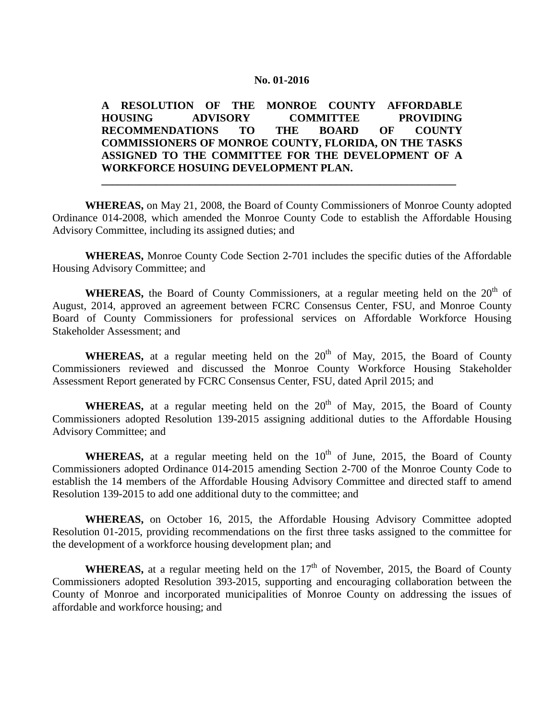### **No. 01-2016**

# **A RESOLUTION OF THE MONROE COUNTY AFFORDABLE HOUSING ADVISORY COMMITTEE PROVIDING RECOMMENDATIONS TO THE BOARD OF COUNTY COMMISSIONERS OF MONROE COUNTY, FLORIDA, ON THE TASKS ASSIGNED TO THE COMMITTEE FOR THE DEVELOPMENT OF A WORKFORCE HOSUING DEVELOPMENT PLAN.**

**WHEREAS,** on May 21, 2008, the Board of County Commissioners of Monroe County adopted Ordinance 014-2008, which amended the Monroe County Code to establish the Affordable Housing Advisory Committee, including its assigned duties; and

**\_\_\_\_\_\_\_\_\_\_\_\_\_\_\_\_\_\_\_\_\_\_\_\_\_\_\_\_\_\_\_\_\_\_\_\_\_\_\_\_\_\_\_\_\_\_\_\_\_\_\_\_\_\_\_\_\_\_\_\_\_\_\_\_\_**

**WHEREAS,** Monroe County Code Section 2-701 includes the specific duties of the Affordable Housing Advisory Committee; and

**WHEREAS,** the Board of County Commissioners, at a regular meeting held on the  $20<sup>th</sup>$  of August, 2014, approved an agreement between FCRC Consensus Center, FSU, and Monroe County Board of County Commissioners for professional services on Affordable Workforce Housing Stakeholder Assessment; and

**WHEREAS,** at a regular meeting held on the  $20<sup>th</sup>$  of May, 2015, the Board of County Commissioners reviewed and discussed the Monroe County Workforce Housing Stakeholder Assessment Report generated by FCRC Consensus Center, FSU, dated April 2015; and

**WHEREAS,** at a regular meeting held on the  $20<sup>th</sup>$  of May, 2015, the Board of County Commissioners adopted Resolution 139-2015 assigning additional duties to the Affordable Housing Advisory Committee; and

**WHEREAS,** at a regular meeting held on the  $10<sup>th</sup>$  of June, 2015, the Board of County Commissioners adopted Ordinance 014-2015 amending Section 2-700 of the Monroe County Code to establish the 14 members of the Affordable Housing Advisory Committee and directed staff to amend Resolution 139-2015 to add one additional duty to the committee; and

**WHEREAS,** on October 16, 2015, the Affordable Housing Advisory Committee adopted Resolution 01-2015, providing recommendations on the first three tasks assigned to the committee for the development of a workforce housing development plan; and

**WHEREAS,** at a regular meeting held on the  $17<sup>th</sup>$  of November, 2015, the Board of County Commissioners adopted Resolution 393-2015, supporting and encouraging collaboration between the County of Monroe and incorporated municipalities of Monroe County on addressing the issues of affordable and workforce housing; and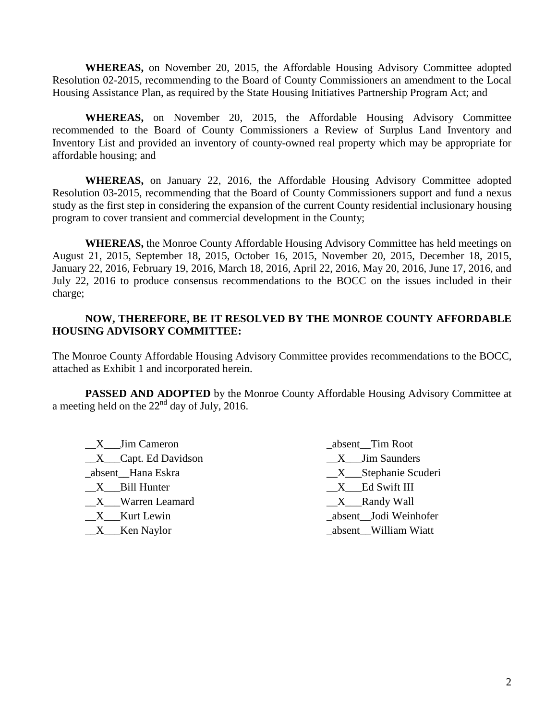**WHEREAS,** on November 20, 2015, the Affordable Housing Advisory Committee adopted Resolution 02-2015, recommending to the Board of County Commissioners an amendment to the Local Housing Assistance Plan, as required by the State Housing Initiatives Partnership Program Act; and

**WHEREAS,** on November 20, 2015, the Affordable Housing Advisory Committee recommended to the Board of County Commissioners a Review of Surplus Land Inventory and Inventory List and provided an inventory of county-owned real property which may be appropriate for affordable housing; and

**WHEREAS,** on January 22, 2016, the Affordable Housing Advisory Committee adopted Resolution 03-2015, recommending that the Board of County Commissioners support and fund a nexus study as the first step in considering the expansion of the current County residential inclusionary housing program to cover transient and commercial development in the County;

**WHEREAS,** the Monroe County Affordable Housing Advisory Committee has held meetings on August 21, 2015, September 18, 2015, October 16, 2015, November 20, 2015, December 18, 2015, January 22, 2016, February 19, 2016, March 18, 2016, April 22, 2016, May 20, 2016, June 17, 2016, and July 22, 2016 to produce consensus recommendations to the BOCC on the issues included in their charge;

# **NOW, THEREFORE, BE IT RESOLVED BY THE MONROE COUNTY AFFORDABLE HOUSING ADVISORY COMMITTEE:**

The Monroe County Affordable Housing Advisory Committee provides recommendations to the BOCC, attached as Exhibit 1 and incorporated herein.

**PASSED AND ADOPTED** by the Monroe County Affordable Housing Advisory Committee at a meeting held on the  $22<sup>nd</sup>$  day of July, 2016.

 $X$  Jim Cameron \_\_X\_\_\_Capt. Ed Davidson \_absent\_\_Hana Eskra  $X$  Bill Hunter \_\_X\_\_\_Warren Leamard \_\_X\_\_\_Kurt Lewin  $X$  Ken Naylor

\_absent\_\_Tim Root \_\_X\_\_\_Jim Saunders \_\_X\_\_\_Stephanie Scuderi \_\_X\_\_\_Ed Swift III  $X$ <sub>\_</sub>Randy Wall \_absent\_\_Jodi Weinhofer \_absent\_\_William Wiatt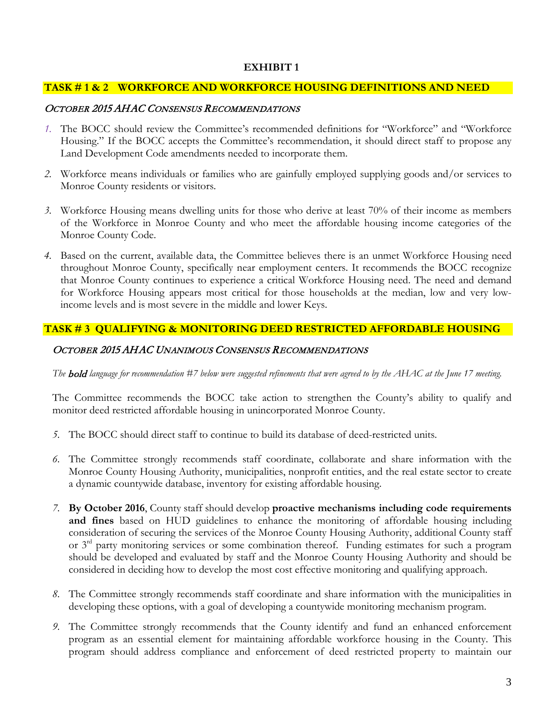## **EXHIBIT 1**

## **TASK # 1 & 2 WORKFORCE AND WORKFORCE HOUSING DEFINITIONS AND NEED**

#### OCTOBER 2015 AHAC CONSENSUS RECOMMENDATIONS

- *1.* The BOCC should review the Committee's recommended definitions for "Workforce" and "Workforce Housing." If the BOCC accepts the Committee's recommendation, it should direct staff to propose any Land Development Code amendments needed to incorporate them.
- *2.* Workforce means individuals or families who are gainfully employed supplying goods and/or services to Monroe County residents or visitors.
- *3.* Workforce Housing means dwelling units for those who derive at least 70% of their income as members of the Workforce in Monroe County and who meet the affordable housing income categories of the Monroe County Code.
- *4.* Based on the current, available data, the Committee believes there is an unmet Workforce Housing need throughout Monroe County, specifically near employment centers. It recommends the BOCC recognize that Monroe County continues to experience a critical Workforce Housing need. The need and demand for Workforce Housing appears most critical for those households at the median, low and very lowincome levels and is most severe in the middle and lower Keys.

#### **TASK # 3 QUALIFYING & MONITORING DEED RESTRICTED AFFORDABLE HOUSING**

#### OCTOBER 2015 AHAC UNANIMOUS CONSENSUS RECOMMENDATIONS

*The* bold *language for recommendation #7 below were suggested refinements that were agreed to by the AHAC at the June 17 meeting.*

The Committee recommends the BOCC take action to strengthen the County's ability to qualify and monitor deed restricted affordable housing in unincorporated Monroe County.

- *5.* The BOCC should direct staff to continue to build its database of deed-restricted units.
- *6.* The Committee strongly recommends staff coordinate, collaborate and share information with the Monroe County Housing Authority, municipalities, nonprofit entities, and the real estate sector to create a dynamic countywide database, inventory for existing affordable housing.
- *7.* **By October 2016**, County staff should develop **proactive mechanisms including code requirements and fines** based on HUD guidelines to enhance the monitoring of affordable housing including consideration of securing the services of the Monroe County Housing Authority, additional County staff or 3<sup>rd</sup> party monitoring services or some combination thereof. Funding estimates for such a program should be developed and evaluated by staff and the Monroe County Housing Authority and should be considered in deciding how to develop the most cost effective monitoring and qualifying approach.
- *8.* The Committee strongly recommends staff coordinate and share information with the municipalities in developing these options, with a goal of developing a countywide monitoring mechanism program.
- *9.* The Committee strongly recommends that the County identify and fund an enhanced enforcement program as an essential element for maintaining affordable workforce housing in the County. This program should address compliance and enforcement of deed restricted property to maintain our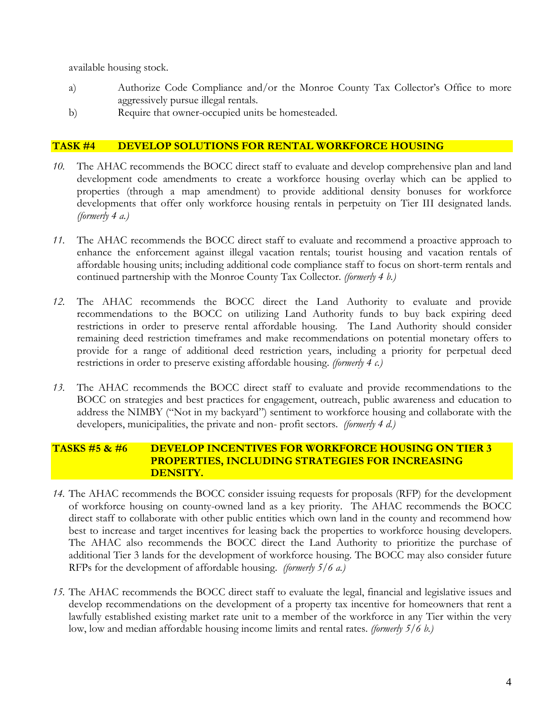available housing stock.

- a) Authorize Code Compliance and/or the Monroe County Tax Collector's Office to more aggressively pursue illegal rentals.
- b) Require that owner-occupied units be homesteaded.

## **TASK #4 DEVELOP SOLUTIONS FOR RENTAL WORKFORCE HOUSING**

- *10.* The AHAC recommends the BOCC direct staff to evaluate and develop comprehensive plan and land development code amendments to create a workforce housing overlay which can be applied to properties (through a map amendment) to provide additional density bonuses for workforce developments that offer only workforce housing rentals in perpetuity on Tier III designated lands. *(formerly 4 a.)*
- *11.* The AHAC recommends the BOCC direct staff to evaluate and recommend a proactive approach to enhance the enforcement against illegal vacation rentals; tourist housing and vacation rentals of affordable housing units; including additional code compliance staff to focus on short-term rentals and continued partnership with the Monroe County Tax Collector. *(formerly 4 b.)*
- *12.* The AHAC recommends the BOCC direct the Land Authority to evaluate and provide recommendations to the BOCC on utilizing Land Authority funds to buy back expiring deed restrictions in order to preserve rental affordable housing. The Land Authority should consider remaining deed restriction timeframes and make recommendations on potential monetary offers to provide for a range of additional deed restriction years, including a priority for perpetual deed restrictions in order to preserve existing affordable housing. *(formerly 4 c.)*
- *13.* The AHAC recommends the BOCC direct staff to evaluate and provide recommendations to the BOCC on strategies and best practices for engagement, outreach, public awareness and education to address the NIMBY ("Not in my backyard") sentiment to workforce housing and collaborate with the developers, municipalities, the private and non- profit sectors. *(formerly 4 d.)*

# **TASKS #5 & #6 DEVELOP INCENTIVES FOR WORKFORCE HOUSING ON TIER 3 PROPERTIES, INCLUDING STRATEGIES FOR INCREASING DENSITY.**

- *14.* The AHAC recommends the BOCC consider issuing requests for proposals (RFP) for the development of workforce housing on county-owned land as a key priority. The AHAC recommends the BOCC direct staff to collaborate with other public entities which own land in the county and recommend how best to increase and target incentives for leasing back the properties to workforce housing developers. The AHAC also recommends the BOCC direct the Land Authority to prioritize the purchase of additional Tier 3 lands for the development of workforce housing. The BOCC may also consider future RFPs for the development of affordable housing. *(formerly 5/6 a.)*
- *15.* The AHAC recommends the BOCC direct staff to evaluate the legal, financial and legislative issues and develop recommendations on the development of a property tax incentive for homeowners that rent a lawfully established existing market rate unit to a member of the workforce in any Tier within the very low, low and median affordable housing income limits and rental rates. *(formerly 5/6 b.)*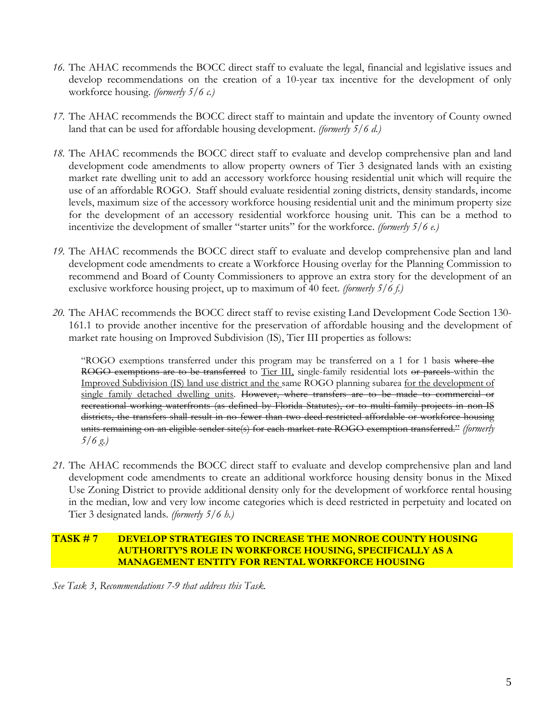- *16.* The AHAC recommends the BOCC direct staff to evaluate the legal, financial and legislative issues and develop recommendations on the creation of a 10-year tax incentive for the development of only workforce housing. *(formerly 5/6 c.)*
- *17.* The AHAC recommends the BOCC direct staff to maintain and update the inventory of County owned land that can be used for affordable housing development. *(formerly 5/6 d.)*
- *18.* The AHAC recommends the BOCC direct staff to evaluate and develop comprehensive plan and land development code amendments to allow property owners of Tier 3 designated lands with an existing market rate dwelling unit to add an accessory workforce housing residential unit which will require the use of an affordable ROGO. Staff should evaluate residential zoning districts, density standards, income levels, maximum size of the accessory workforce housing residential unit and the minimum property size for the development of an accessory residential workforce housing unit. This can be a method to incentivize the development of smaller "starter units" for the workforce. *(formerly 5/6 e.)*
- *19.* The AHAC recommends the BOCC direct staff to evaluate and develop comprehensive plan and land development code amendments to create a Workforce Housing overlay for the Planning Commission to recommend and Board of County Commissioners to approve an extra story for the development of an exclusive workforce housing project, up to maximum of 40 feet. *(formerly 5/6 f.)*
- *20.* The AHAC recommends the BOCC direct staff to revise existing Land Development Code Section 130- 161.1 to provide another incentive for the preservation of affordable housing and the development of market rate housing on Improved Subdivision (IS), Tier III properties as follows:

"ROGO exemptions transferred under this program may be transferred on a 1 for 1 basis where the ROGO exemptions are to be transferred to Tier III, single-family residential lots or parcels within the Improved Subdivision (IS) land use district and the same ROGO planning subarea for the development of single family detached dwelling units. However, where transfers are to be made to commercial or recreational working waterfronts (as defined by Florida Statutes), or to multi-family projects in non-IS districts, the transfers shall result in no fewer than two deed-restricted affordable or workforce housing units remaining on an eligible sender site(s) for each market rate ROGO exemption transferred." *(formerly 5/6 g.)*

*21.* The AHAC recommends the BOCC direct staff to evaluate and develop comprehensive plan and land development code amendments to create an additional workforce housing density bonus in the Mixed Use Zoning District to provide additional density only for the development of workforce rental housing in the median, low and very low income categories which is deed restricted in perpetuity and located on Tier 3 designated lands. *(formerly 5/6 h.)*

### **TASK # 7 DEVELOP STRATEGIES TO INCREASE THE MONROE COUNTY HOUSING AUTHORITY'S ROLE IN WORKFORCE HOUSING, SPECIFICALLY AS A MANAGEMENT ENTITY FOR RENTAL WORKFORCE HOUSING**

*See Task 3, Recommendations 7-9 that address this Task.*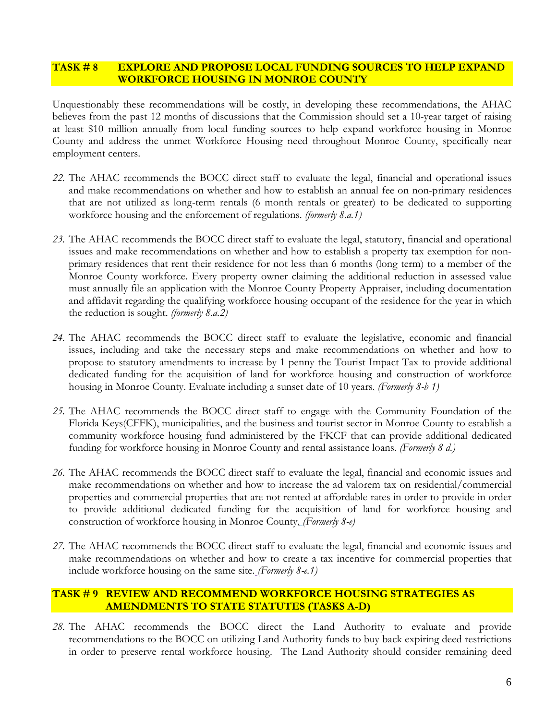# **TASK # 8 EXPLORE AND PROPOSE LOCAL FUNDING SOURCES TO HELP EXPAND WORKFORCE HOUSING IN MONROE COUNTY**

Unquestionably these recommendations will be costly, in developing these recommendations, the AHAC believes from the past 12 months of discussions that the Commission should set a 10-year target of raising at least \$10 million annually from local funding sources to help expand workforce housing in Monroe County and address the unmet Workforce Housing need throughout Monroe County, specifically near employment centers.

- *22.* The AHAC recommends the BOCC direct staff to evaluate the legal, financial and operational issues and make recommendations on whether and how to establish an annual fee on non-primary residences that are not utilized as long-term rentals (6 month rentals or greater) to be dedicated to supporting workforce housing and the enforcement of regulations. *(formerly 8.a.1)*
- *23.* The AHAC recommends the BOCC direct staff to evaluate the legal, statutory, financial and operational issues and make recommendations on whether and how to establish a property tax exemption for nonprimary residences that rent their residence for not less than 6 months (long term) to a member of the Monroe County workforce. Every property owner claiming the additional reduction in assessed value must annually file an application with the Monroe County Property Appraiser, including documentation and affidavit regarding the qualifying workforce housing occupant of the residence for the year in which the reduction is sought. *(formerly 8.a.2)*
- *24.* The AHAC recommends the BOCC direct staff to evaluate the legislative, economic and financial issues, including and take the necessary steps and make recommendations on whether and how to propose to statutory amendments to increase by 1 penny the Tourist Impact Tax to provide additional dedicated funding for the acquisition of land for workforce housing and construction of workforce housing in Monroe County. Evaluate including a sunset date of 10 years. *(Formerly 8-b 1)*
- *25.* The AHAC recommends the BOCC direct staff to engage with the Community Foundation of the Florida Keys(CFFK), municipalities, and the business and tourist sector in Monroe County to establish a community workforce housing fund administered by the FKCF that can provide additional dedicated funding for workforce housing in Monroe County and rental assistance loans. *(Formerly 8 d.)*
- *26.* The AHAC recommends the BOCC direct staff to evaluate the legal, financial and economic issues and make recommendations on whether and how to increase the ad valorem tax on residential/commercial properties and commercial properties that are not rented at affordable rates in order to provide in order to provide additional dedicated funding for the acquisition of land for workforce housing and construction of workforce housing in Monroe County. *(Formerly 8-e)*
- *27.* The AHAC recommends the BOCC direct staff to evaluate the legal, financial and economic issues and make recommendations on whether and how to create a tax incentive for commercial properties that include workforce housing on the same site. *(Formerly 8-e.1)*

# **TASK # 9 REVIEW AND RECOMMEND WORKFORCE HOUSING STRATEGIES AS AMENDMENTS TO STATE STATUTES (TASKS A-D)**

*28.* The AHAC recommends the BOCC direct the Land Authority to evaluate and provide recommendations to the BOCC on utilizing Land Authority funds to buy back expiring deed restrictions in order to preserve rental workforce housing. The Land Authority should consider remaining deed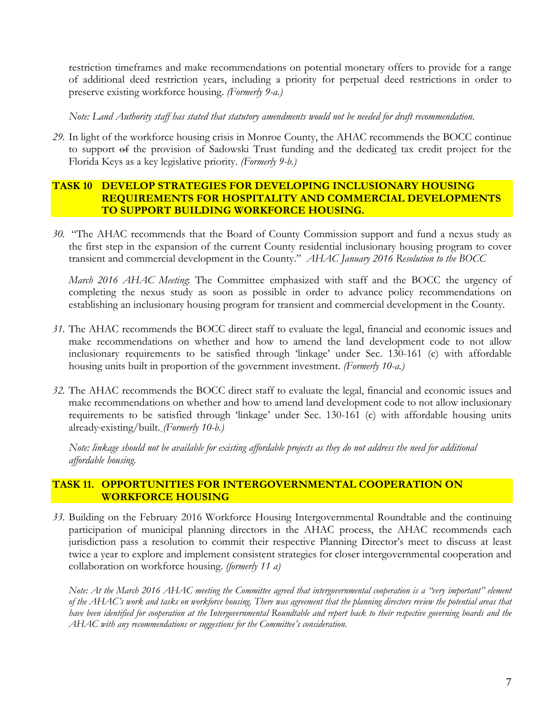restriction timeframes and make recommendations on potential monetary offers to provide for a range of additional deed restriction years, including a priority for perpetual deed restrictions in order to preserve existing workforce housing. *(Formerly 9-a.)*

*Note: Land Authority staff has stated that statutory amendments would not be needed for draft recommendation.*

*29.* In light of the workforce housing crisis in Monroe County, the AHAC recommends the BOCC continue to support of the provision of Sadowski Trust funding and the dedicated tax credit project for the Florida Keys as a key legislative priority. *(Formerly 9-b.)*

# **TASK 10 DEVELOP STRATEGIES FOR DEVELOPING INCLUSIONARY HOUSING REQUIREMENTS FOR HOSPITALITY AND COMMERCIAL DEVELOPMENTS TO SUPPORT BUILDING WORKFORCE HOUSING.**

*30.* "The AHAC recommends that the Board of County Commission support and fund a nexus study as the first step in the expansion of the current County residential inclusionary housing program to cover transient and commercial development in the County." *AHAC January 2016 Resolution to the BOCC*

*March 2016 AHAC Meeting*: The Committee emphasized with staff and the BOCC the urgency of completing the nexus study as soon as possible in order to advance policy recommendations on establishing an inclusionary housing program for transient and commercial development in the County.

- *31.* The AHAC recommends the BOCC direct staff to evaluate the legal, financial and economic issues and make recommendations on whether and how to amend the land development code to not allow inclusionary requirements to be satisfied through 'linkage' under Sec. 130-161 (c) with affordable housing units built in proportion of the government investment. *(Formerly 10-a.)*
- *32.* The AHAC recommends the BOCC direct staff to evaluate the legal, financial and economic issues and make recommendations on whether and how to amend land development code to not allow inclusionary requirements to be satisfied through 'linkage' under Sec. 130-161 (c) with affordable housing units already existing/built. *(Formerly 10-b.)*

*Note: linkage should not be available for existing affordable projects as they do not address the need for additional affordable housing.* 

# **TASK 11. OPPORTUNITIES FOR INTERGOVERNMENTAL COOPERATION ON WORKFORCE HOUSING**

*33.* Building on the February 2016 Workforce Housing Intergovernmental Roundtable and the continuing participation of municipal planning directors in the AHAC process, the AHAC recommends each jurisdiction pass a resolution to commit their respective Planning Director's meet to discuss at least twice a year to explore and implement consistent strategies for closer intergovernmental cooperation and collaboration on workforce housing. *(formerly 11 a)*

*Note: At the March 2016 AHAC meeting the Committee agreed that intergovernmental cooperation is a "very important" element of the AHAC's work and tasks on workforce housing. There was agreement that the planning directors review the potential areas that have been identified for cooperation at the Intergovernmental Roundtable and report back to their respective governing boards and the AHAC with any recommendations or suggestions for the Committee's consideration.*